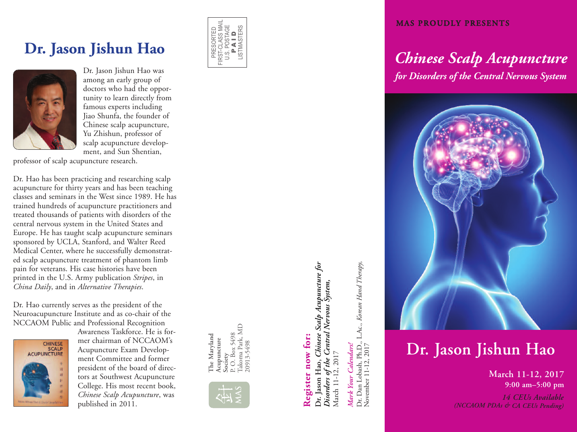# **D r. J as o n J i s h u n H a o**



Dr. Jason Jishun Hao was among an early group of doctors who had the opportunity to learn directly from famous experts including Jiao Shunfa, the founder of Chinese scalp acupuncture, Yu Zhishun, professor of scalp acupuncture development, and Sun Shentian,

professor of scalp acupuncture research.

Dr. Hao has been practicing and researching scalp acupuncture for thirty years and has been teaching classes and seminars in the West since 1989. He has trained hundreds of acupuncture practitioners and treated thousands of patients with disorders of the central nervous system in the United States and Europe. He has taught scalp acupuncture seminars sponsored by UCLA, Stanford, and Walter Reed Medical Center, where he successfully demonstrated scalp acupuncture treatment of phantom limb pain for veterans. His case histories have been printed in the U.S. Army publication Stripes, in *China Daily*, and in *Alternative Therapies.* 

Dr. Hao currently serves as the president of the Neuroacupuncture Institute and as co-chair of the NCCAOM Public and Professional Recognition



Awareness Taskforce. He is former chairman of NCCAOM's Acupuncture Exam Development Committee and former president of the board of directors at Southwest Acupuncture College. His most recent book, *Chinese Scalp Acupuncture*, was published in 2011.



# Register now for: **Register now for:**

**MAS**

akoma Park, MD

20913-5498

**The Maryland Acupuncture The Maryland<br>Acupuncture<br>Society<br>P. O. Box 5498** P. O. Box 5498 Takoma Park, MD 20913-5498 Dr. Jason Hao, *Chinese Scalp Acupuncture for* **Dr. Jason Hao,** *Chinese Scalp Acupuncture for* Disorders of the Central Nervous System, *Disorders of the Central Nervous System,* March 11-12, 2017 March 11-12, 2017

# *Mark Your Calendars!* Mark Your Calendars!

Dr. Dan Lobash, Ph.D., L.Ac., *Korean Hand Therapy*,<br>November 11-12, 2017 Dr. Dan Lobash, Ph.D., L.Ac., *Korean Hand Therapy*, November 11-12, 2017

## **MAS PROUDLY PRESENTS**

# *Ch in es e Sca lp A c up u n c tu re for Disorders of the Central Nervous System*



# **D r . J a s o n J i s h u n H a o**

**M a r c h 1 1 - 1 2 , 2 0 1 7 9 : 0 0 a m – 5 : 0 0 p m**

*1 4 CE Us A v a i la b le (NCCA OM PDA s & CA CE Us Pe n di ng)*